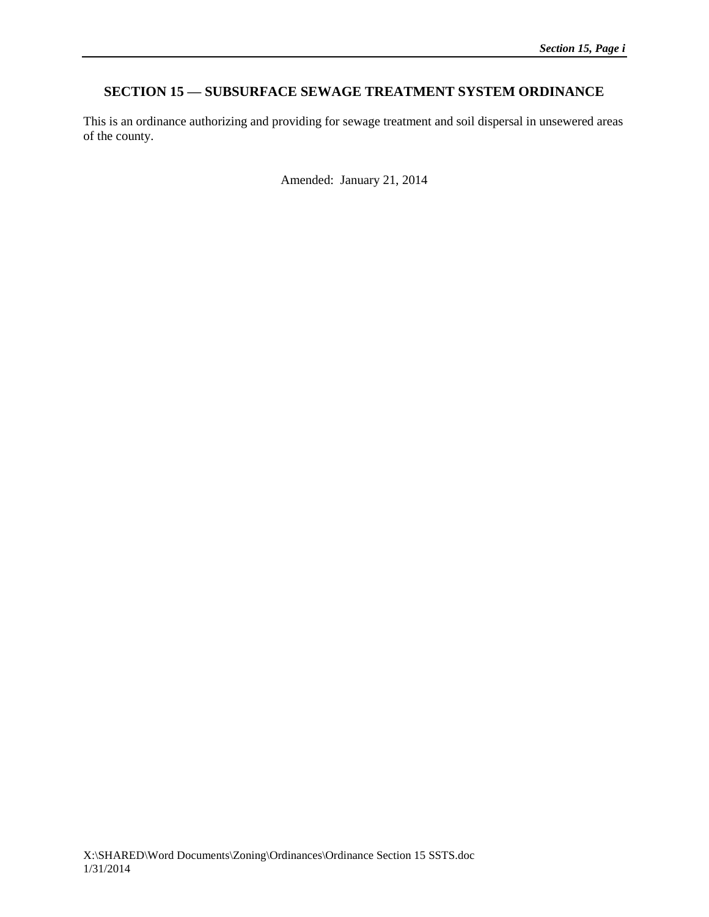# **SECTION 15 — SUBSURFACE SEWAGE TREATMENT SYSTEM ORDINANCE**

This is an ordinance authorizing and providing for sewage treatment and soil dispersal in unsewered areas of the county.

Amended: January 21, 2014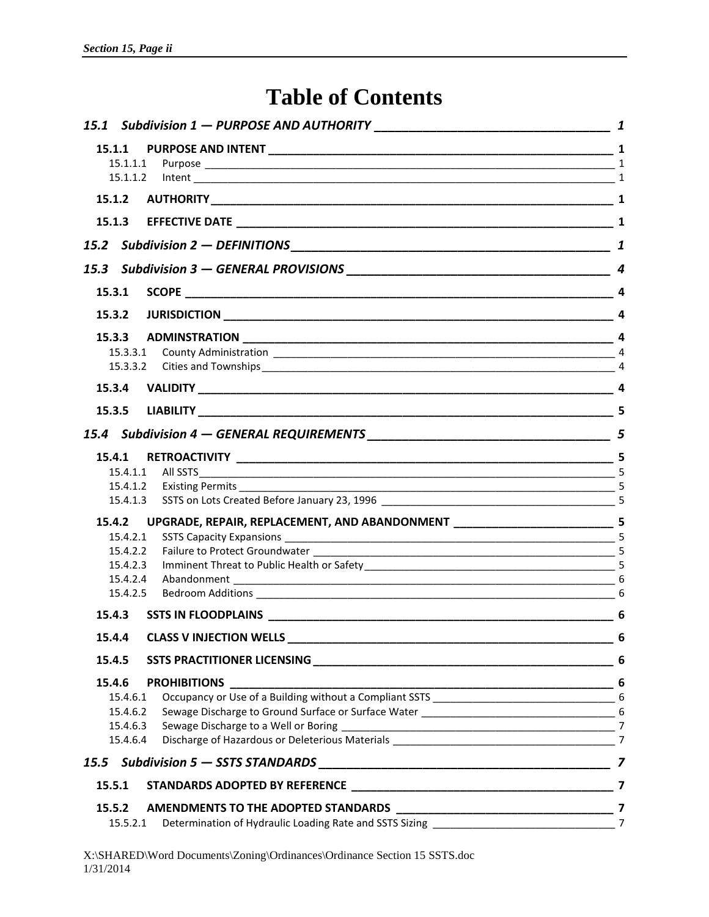# **Table of Contents**

| 15.1.2               |                                                                               |  |
|----------------------|-------------------------------------------------------------------------------|--|
| 15.1.3               |                                                                               |  |
|                      |                                                                               |  |
|                      |                                                                               |  |
| 15.3.1               |                                                                               |  |
| 15.3.2               |                                                                               |  |
| 15.3.3               |                                                                               |  |
| 15.3.3.1             |                                                                               |  |
| 15.3.3.2             |                                                                               |  |
| 15.3.4               |                                                                               |  |
| 15.3.5               |                                                                               |  |
|                      |                                                                               |  |
| 15.4.1               |                                                                               |  |
|                      |                                                                               |  |
|                      |                                                                               |  |
|                      |                                                                               |  |
| 15.4.2               | UPGRADE, REPAIR, REPLACEMENT, AND ABANDONMENT ______________________________5 |  |
| 15.4.2.1             |                                                                               |  |
| 15.4.2.2             |                                                                               |  |
| 15.4.2.3             |                                                                               |  |
| 15.4.2.4<br>15.4.2.5 |                                                                               |  |
| 15.4.3               |                                                                               |  |
| 15.4.4               |                                                                               |  |
| 15.4.5               |                                                                               |  |
| 15.4.6               |                                                                               |  |
| 15.4.6.1             |                                                                               |  |
| 15.4.6.2             |                                                                               |  |
| 15.4.6.3             |                                                                               |  |
| 15.4.6.4             |                                                                               |  |
|                      |                                                                               |  |
| 15.5.1               |                                                                               |  |
| 15.5.2               |                                                                               |  |
| 15.5.2.1             |                                                                               |  |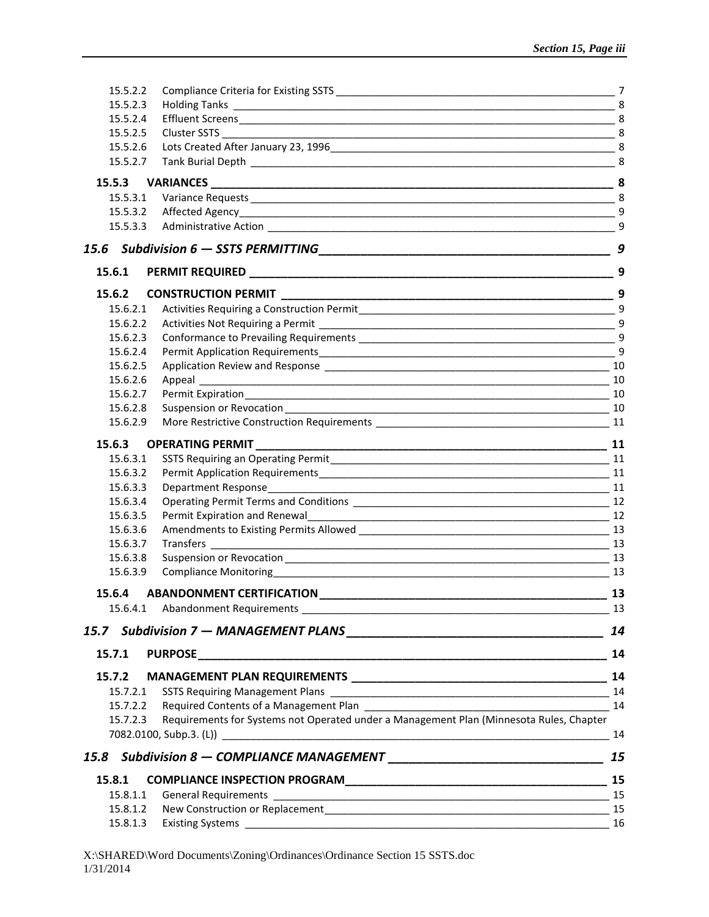| 15.5.2.2 |                                                                                         |    |
|----------|-----------------------------------------------------------------------------------------|----|
| 15.5.2.3 |                                                                                         |    |
| 15.5.2.4 |                                                                                         |    |
| 15.5.2.5 |                                                                                         |    |
| 15.5.2.6 |                                                                                         |    |
| 15.5.2.7 |                                                                                         |    |
| 15.5.3   |                                                                                         |    |
| 15.5.3.1 |                                                                                         |    |
| 15.5.3.2 |                                                                                         |    |
| 15.5.3.3 |                                                                                         | 9  |
|          |                                                                                         | 9  |
| 15.6.1   |                                                                                         |    |
| 15.6.2   | <b>CONSTRUCTION PERMIT</b>                                                              |    |
| 15.6.2.1 |                                                                                         |    |
| 15.6.2.2 |                                                                                         |    |
| 15.6.2.3 |                                                                                         |    |
| 15.6.2.4 |                                                                                         | 9  |
| 15.6.2.5 |                                                                                         | 10 |
| 15.6.2.6 |                                                                                         |    |
| 15.6.2.7 |                                                                                         |    |
| 15.6.2.8 |                                                                                         |    |
| 15.6.2.9 |                                                                                         |    |
| 15.6.3   | <b>OPERATING PERMIT</b>                                                                 | 11 |
| 15.6.3.1 |                                                                                         |    |
| 15.6.3.2 |                                                                                         |    |
| 15.6.3.3 |                                                                                         |    |
| 15.6.3.4 |                                                                                         |    |
| 15.6.3.5 |                                                                                         |    |
| 15.6.3.6 |                                                                                         |    |
| 15.6.3.7 |                                                                                         |    |
| 15.6.3.8 |                                                                                         |    |
| 15.6.3.9 |                                                                                         |    |
| 15.6.4   |                                                                                         | 13 |
| 15.6.4.1 |                                                                                         |    |
|          |                                                                                         | 14 |
| 15.7.1   | PURPOSE 14                                                                              |    |
| 15.7.2   |                                                                                         |    |
| 15.7.2.1 |                                                                                         |    |
| 15.7.2.2 |                                                                                         | 14 |
| 15.7.2.3 | Requirements for Systems not Operated under a Management Plan (Minnesota Rules, Chapter |    |
|          |                                                                                         | 15 |
|          |                                                                                         |    |
| 15.8.1   |                                                                                         |    |
| 15.8.1.1 |                                                                                         |    |
| 15.8.1.2 |                                                                                         |    |
| 15.8.1.3 |                                                                                         |    |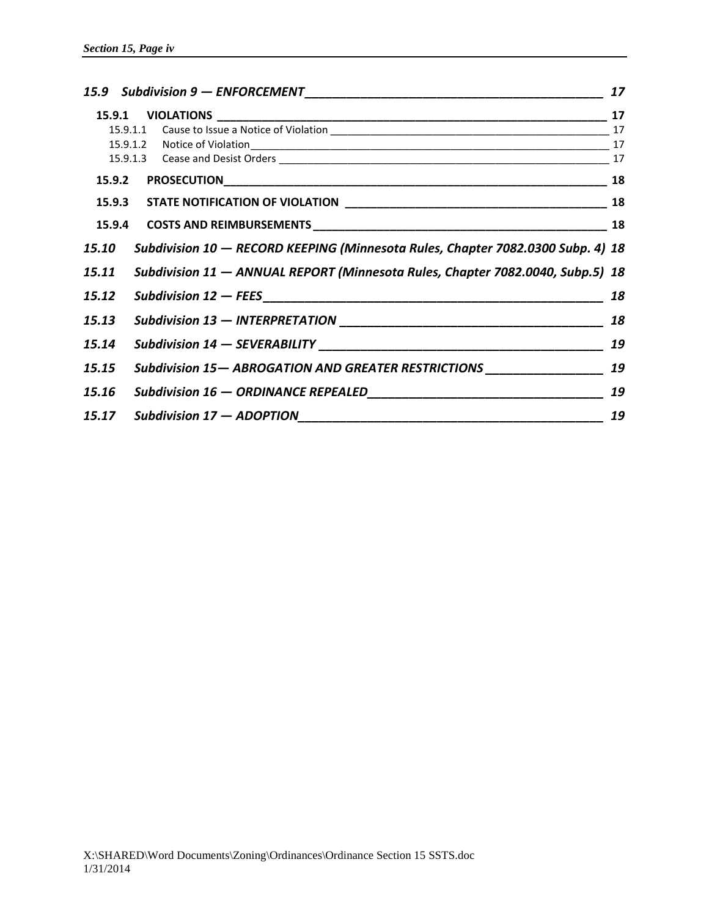|        |  | 15.9 Subdivision 9 - ENFORCEMENT                                                | 17 |
|--------|--|---------------------------------------------------------------------------------|----|
|        |  |                                                                                 |    |
|        |  |                                                                                 |    |
|        |  |                                                                                 |    |
|        |  |                                                                                 |    |
| 15.9.2 |  |                                                                                 |    |
|        |  |                                                                                 |    |
|        |  |                                                                                 |    |
| 15.10  |  | Subdivision 10 - RECORD KEEPING (Minnesota Rules, Chapter 7082.0300 Subp. 4) 18 |    |
| 15.11  |  | Subdivision 11 - ANNUAL REPORT (Minnesota Rules, Chapter 7082.0040, Subp.5) 18  |    |
| 15.12  |  |                                                                                 | 18 |
| 15.13  |  |                                                                                 |    |
| 15.14  |  |                                                                                 | 19 |
| 15.15  |  | Subdivision 15- ABROGATION AND GREATER RESTRICTIONS _____________________ 19    |    |
| 15.16  |  |                                                                                 | 19 |
| 15.17  |  | Subdivision $17 - ADOPTION$                                                     | 19 |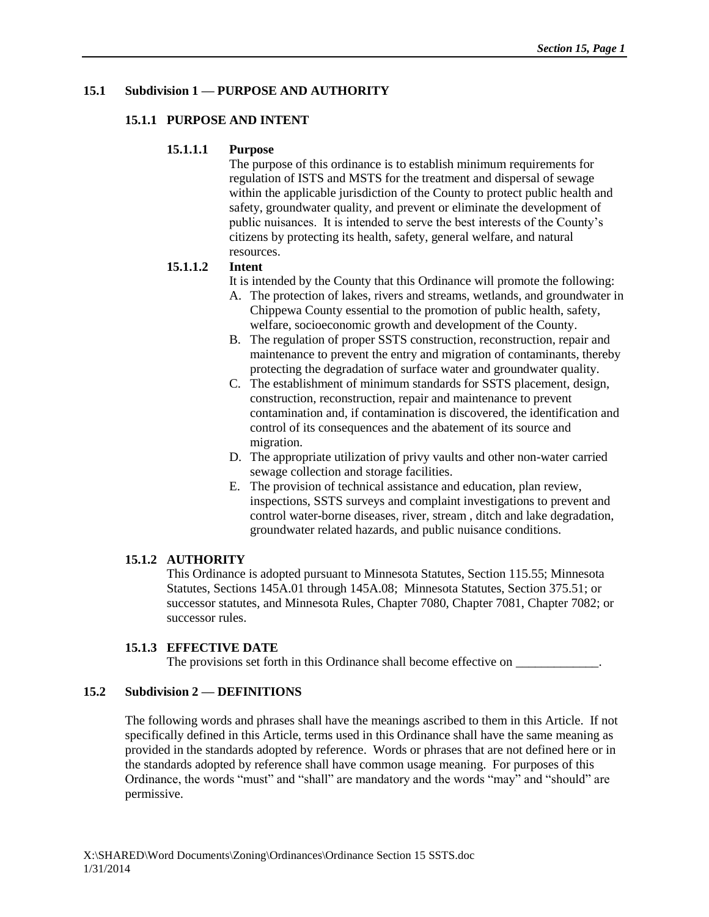## **15.1 Subdivision 1 — PURPOSE AND AUTHORITY**

#### **15.1.1 PURPOSE AND INTENT**

#### **15.1.1.1 Purpose**

The purpose of this ordinance is to establish minimum requirements for regulation of ISTS and MSTS for the treatment and dispersal of sewage within the applicable jurisdiction of the County to protect public health and safety, groundwater quality, and prevent or eliminate the development of public nuisances. It is intended to serve the best interests of the County's citizens by protecting its health, safety, general welfare, and natural resources.

## **15.1.1.2 Intent**

- It is intended by the County that this Ordinance will promote the following:
- A. The protection of lakes, rivers and streams, wetlands, and groundwater in Chippewa County essential to the promotion of public health, safety, welfare, socioeconomic growth and development of the County.
- B. The regulation of proper SSTS construction, reconstruction, repair and maintenance to prevent the entry and migration of contaminants, thereby protecting the degradation of surface water and groundwater quality.
- C. The establishment of minimum standards for SSTS placement, design, construction, reconstruction, repair and maintenance to prevent contamination and, if contamination is discovered, the identification and control of its consequences and the abatement of its source and migration.
- D. The appropriate utilization of privy vaults and other non-water carried sewage collection and storage facilities.
- E. The provision of technical assistance and education, plan review, inspections, SSTS surveys and complaint investigations to prevent and control water-borne diseases, river, stream , ditch and lake degradation, groundwater related hazards, and public nuisance conditions.

## **15.1.2 AUTHORITY**

This Ordinance is adopted pursuant to Minnesota Statutes, Section 115.55; Minnesota Statutes, Sections 145A.01 through 145A.08; Minnesota Statutes, Section 375.51; or successor statutes, and Minnesota Rules, Chapter 7080, Chapter 7081, Chapter 7082; or successor rules.

## **15.1.3 EFFECTIVE DATE**

The provisions set forth in this Ordinance shall become effective on  $\_\_$ 

## **15.2 Subdivision 2 — DEFINITIONS**

The following words and phrases shall have the meanings ascribed to them in this Article. If not specifically defined in this Article, terms used in this Ordinance shall have the same meaning as provided in the standards adopted by reference. Words or phrases that are not defined here or in the standards adopted by reference shall have common usage meaning. For purposes of this Ordinance, the words "must" and "shall" are mandatory and the words "may" and "should" are permissive.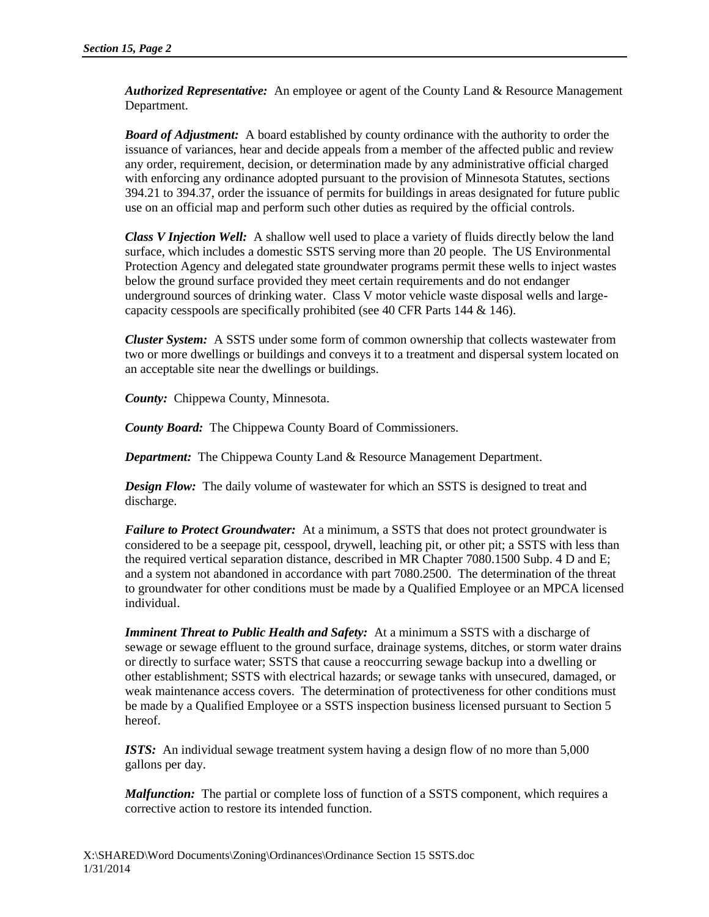*Authorized Representative:* An employee or agent of the County Land & Resource Management Department.

*Board of Adjustment:* A board established by county ordinance with the authority to order the issuance of variances, hear and decide appeals from a member of the affected public and review any order, requirement, decision, or determination made by any administrative official charged with enforcing any ordinance adopted pursuant to the provision of Minnesota Statutes, sections 394.21 to 394.37, order the issuance of permits for buildings in areas designated for future public use on an official map and perform such other duties as required by the official controls.

*Class V Injection Well:* A shallow well used to place a variety of fluids directly below the land surface, which includes a domestic SSTS serving more than 20 people. The US Environmental Protection Agency and delegated state groundwater programs permit these wells to inject wastes below the ground surface provided they meet certain requirements and do not endanger underground sources of drinking water. Class V motor vehicle waste disposal wells and largecapacity cesspools are specifically prohibited (see 40 CFR Parts 144 & 146).

*Cluster System:* A SSTS under some form of common ownership that collects wastewater from two or more dwellings or buildings and conveys it to a treatment and dispersal system located on an acceptable site near the dwellings or buildings.

*County:* Chippewa County, Minnesota.

*County Board:* The Chippewa County Board of Commissioners.

*Department:* The Chippewa County Land & Resource Management Department.

*Design Flow:* The daily volume of wastewater for which an SSTS is designed to treat and discharge.

*Failure to Protect Groundwater:* At a minimum, a SSTS that does not protect groundwater is considered to be a seepage pit, cesspool, drywell, leaching pit, or other pit; a SSTS with less than the required vertical separation distance, described in MR Chapter 7080.1500 Subp. 4 D and E; and a system not abandoned in accordance with part 7080.2500. The determination of the threat to groundwater for other conditions must be made by a Qualified Employee or an MPCA licensed individual.

*Imminent Threat to Public Health and Safety:* At a minimum a SSTS with a discharge of sewage or sewage effluent to the ground surface, drainage systems, ditches, or storm water drains or directly to surface water; SSTS that cause a reoccurring sewage backup into a dwelling or other establishment; SSTS with electrical hazards; or sewage tanks with unsecured, damaged, or weak maintenance access covers. The determination of protectiveness for other conditions must be made by a Qualified Employee or a SSTS inspection business licensed pursuant to Section 5 hereof.

*ISTS:* An individual sewage treatment system having a design flow of no more than 5,000 gallons per day.

*Malfunction:* The partial or complete loss of function of a SSTS component, which requires a corrective action to restore its intended function.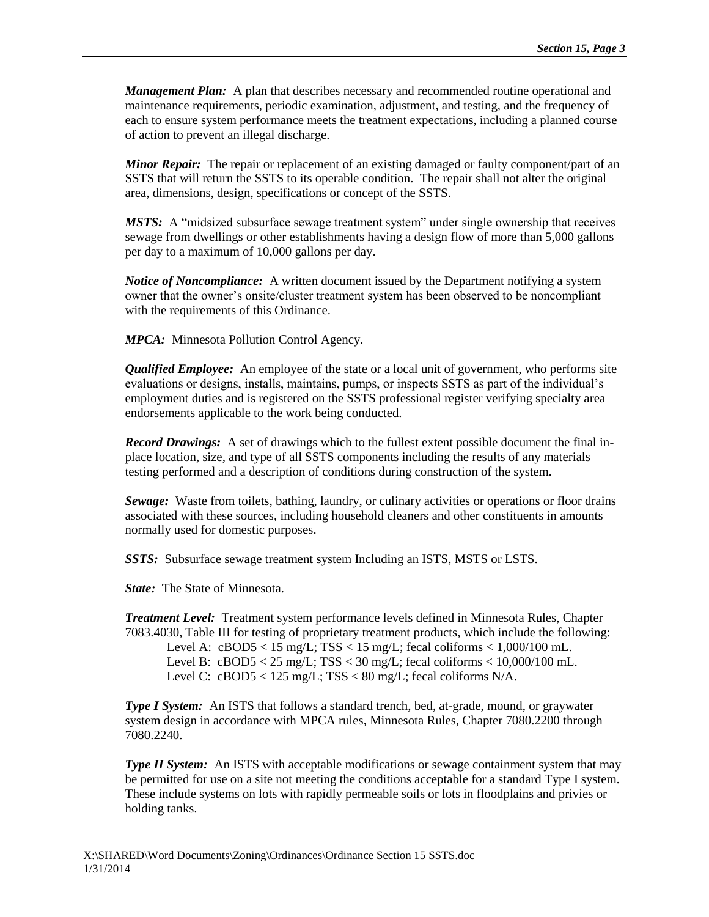*Management Plan:* A plan that describes necessary and recommended routine operational and maintenance requirements, periodic examination, adjustment, and testing, and the frequency of each to ensure system performance meets the treatment expectations, including a planned course of action to prevent an illegal discharge.

*Minor Repair:* The repair or replacement of an existing damaged or faulty component/part of an SSTS that will return the SSTS to its operable condition. The repair shall not alter the original area, dimensions, design, specifications or concept of the SSTS.

*MSTS:* A "midsized subsurface sewage treatment system" under single ownership that receives sewage from dwellings or other establishments having a design flow of more than 5,000 gallons per day to a maximum of 10,000 gallons per day.

*Notice of Noncompliance:* A written document issued by the Department notifying a system owner that the owner's onsite/cluster treatment system has been observed to be noncompliant with the requirements of this Ordinance.

*MPCA:* Minnesota Pollution Control Agency.

*Qualified Employee:* An employee of the state or a local unit of government, who performs site evaluations or designs, installs, maintains, pumps, or inspects SSTS as part of the individual's employment duties and is registered on the SSTS professional register verifying specialty area endorsements applicable to the work being conducted.

*Record Drawings:* A set of drawings which to the fullest extent possible document the final inplace location, size, and type of all SSTS components including the results of any materials testing performed and a description of conditions during construction of the system.

*Sewage:* Waste from toilets, bathing, laundry, or culinary activities or operations or floor drains associated with these sources, including household cleaners and other constituents in amounts normally used for domestic purposes.

*SSTS:* Subsurface sewage treatment system Including an ISTS, MSTS or LSTS.

*State:* The State of Minnesota.

*Treatment Level:* Treatment system performance levels defined in Minnesota Rules, Chapter 7083.4030, Table III for testing of proprietary treatment products, which include the following:

Level A:  $cBOD5 < 15$  mg/L;  $TSS < 15$  mg/L; fecal coliforms  $< 1,000/100$  mL. Level B:  $cBOD5 < 25$  mg/L;  $TSS < 30$  mg/L; fecal coliforms  $< 10,000/100$  mL. Level C:  $c\text{BOD5} < 125 \text{ mg/L}$ ;  $TSS < 80 \text{ mg/L}$ ; fecal coliforms N/A.

*Type I System:* An ISTS that follows a standard trench, bed, at-grade, mound, or graywater system design in accordance with MPCA rules, Minnesota Rules, Chapter 7080.2200 through 7080.2240.

*Type II System:* An ISTS with acceptable modifications or sewage containment system that may be permitted for use on a site not meeting the conditions acceptable for a standard Type I system. These include systems on lots with rapidly permeable soils or lots in floodplains and privies or holding tanks.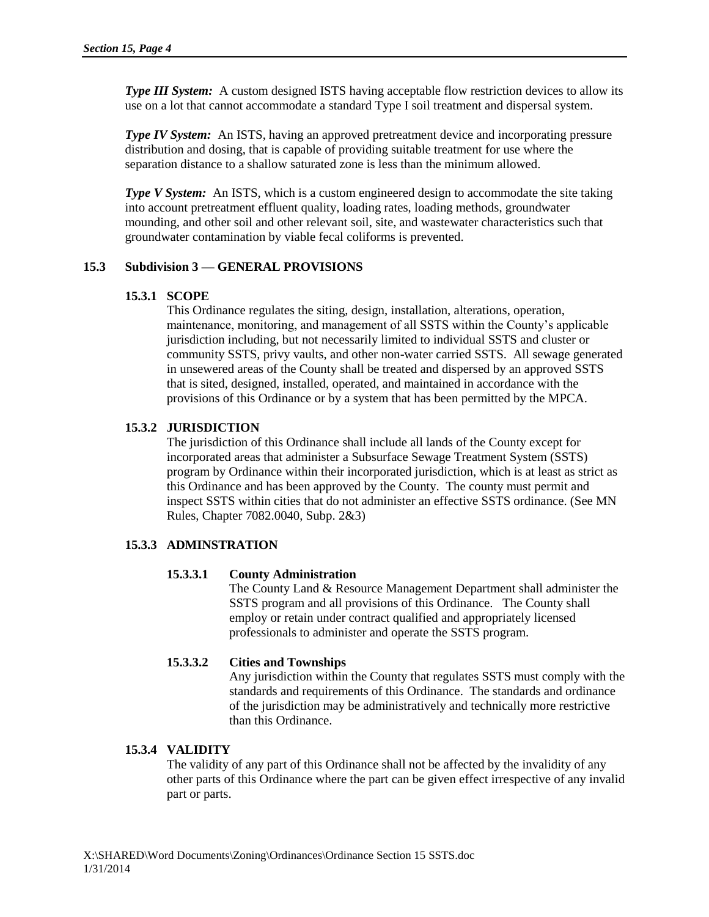*Type III System:* A custom designed ISTS having acceptable flow restriction devices to allow its use on a lot that cannot accommodate a standard Type I soil treatment and dispersal system.

*Type IV System:* An ISTS, having an approved pretreatment device and incorporating pressure distribution and dosing, that is capable of providing suitable treatment for use where the separation distance to a shallow saturated zone is less than the minimum allowed.

*Type V System:* An ISTS, which is a custom engineered design to accommodate the site taking into account pretreatment effluent quality, loading rates, loading methods, groundwater mounding, and other soil and other relevant soil, site, and wastewater characteristics such that groundwater contamination by viable fecal coliforms is prevented.

## **15.3 Subdivision 3 — GENERAL PROVISIONS**

## **15.3.1 SCOPE**

This Ordinance regulates the siting, design, installation, alterations, operation, maintenance, monitoring, and management of all SSTS within the County's applicable jurisdiction including, but not necessarily limited to individual SSTS and cluster or community SSTS, privy vaults, and other non-water carried SSTS. All sewage generated in unsewered areas of the County shall be treated and dispersed by an approved SSTS that is sited, designed, installed, operated, and maintained in accordance with the provisions of this Ordinance or by a system that has been permitted by the MPCA.

## **15.3.2 JURISDICTION**

The jurisdiction of this Ordinance shall include all lands of the County except for incorporated areas that administer a Subsurface Sewage Treatment System (SSTS) program by Ordinance within their incorporated jurisdiction, which is at least as strict as this Ordinance and has been approved by the County. The county must permit and inspect SSTS within cities that do not administer an effective SSTS ordinance. (See MN Rules, Chapter 7082.0040, Subp. 2&3)

# **15.3.3 ADMINSTRATION**

## **15.3.3.1 County Administration**

The County Land & Resource Management Department shall administer the SSTS program and all provisions of this Ordinance. The County shall employ or retain under contract qualified and appropriately licensed professionals to administer and operate the SSTS program.

## **15.3.3.2 Cities and Townships**

Any jurisdiction within the County that regulates SSTS must comply with the standards and requirements of this Ordinance. The standards and ordinance of the jurisdiction may be administratively and technically more restrictive than this Ordinance.

## **15.3.4 VALIDITY**

The validity of any part of this Ordinance shall not be affected by the invalidity of any other parts of this Ordinance where the part can be given effect irrespective of any invalid part or parts.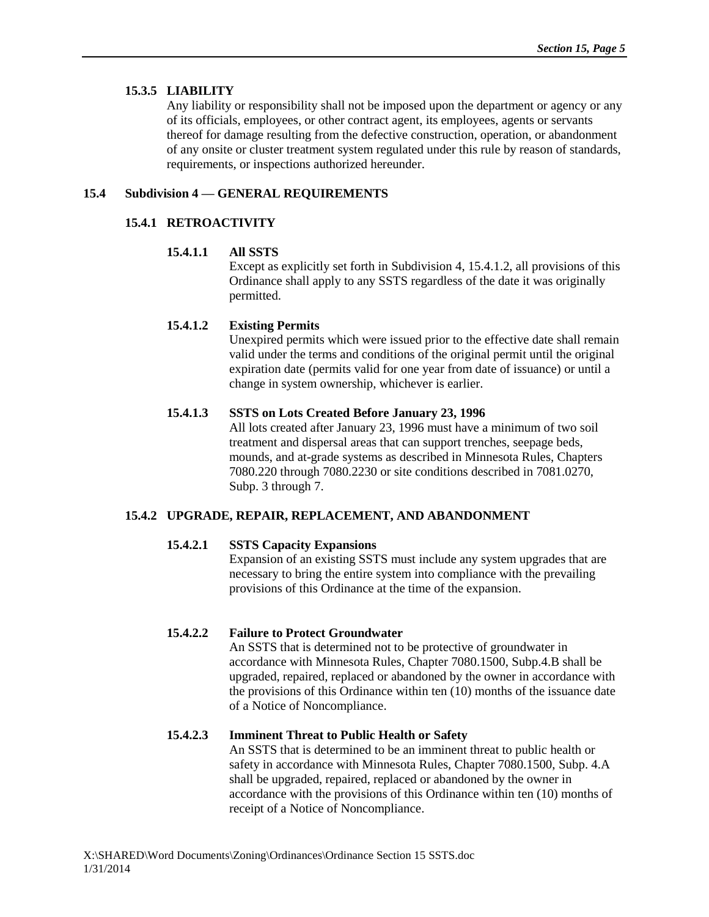## **15.3.5 LIABILITY**

Any liability or responsibility shall not be imposed upon the department or agency or any of its officials, employees, or other contract agent, its employees, agents or servants thereof for damage resulting from the defective construction, operation, or abandonment of any onsite or cluster treatment system regulated under this rule by reason of standards, requirements, or inspections authorized hereunder.

# **15.4 Subdivision 4 — GENERAL REQUIREMENTS**

# **15.4.1 RETROACTIVITY**

# **15.4.1.1 All SSTS**

Except as explicitly set forth in Subdivision 4, 15.4.1.2, all provisions of this Ordinance shall apply to any SSTS regardless of the date it was originally permitted.

# **15.4.1.2 Existing Permits**

Unexpired permits which were issued prior to the effective date shall remain valid under the terms and conditions of the original permit until the original expiration date (permits valid for one year from date of issuance) or until a change in system ownership, whichever is earlier.

## **15.4.1.3 SSTS on Lots Created Before January 23, 1996**

All lots created after January 23, 1996 must have a minimum of two soil treatment and dispersal areas that can support trenches, seepage beds, mounds, and at-grade systems as described in Minnesota Rules, Chapters 7080.220 through 7080.2230 or site conditions described in 7081.0270, Subp. 3 through 7.

# **15.4.2 UPGRADE, REPAIR, REPLACEMENT, AND ABANDONMENT**

# **15.4.2.1 SSTS Capacity Expansions**

Expansion of an existing SSTS must include any system upgrades that are necessary to bring the entire system into compliance with the prevailing provisions of this Ordinance at the time of the expansion.

# **15.4.2.2 Failure to Protect Groundwater**

An SSTS that is determined not to be protective of groundwater in accordance with Minnesota Rules, Chapter 7080.1500, Subp.4.B shall be upgraded, repaired, replaced or abandoned by the owner in accordance with the provisions of this Ordinance within ten (10) months of the issuance date of a Notice of Noncompliance.

# **15.4.2.3 Imminent Threat to Public Health or Safety**

An SSTS that is determined to be an imminent threat to public health or safety in accordance with Minnesota Rules, Chapter 7080.1500, Subp. 4.A shall be upgraded, repaired, replaced or abandoned by the owner in accordance with the provisions of this Ordinance within ten (10) months of receipt of a Notice of Noncompliance.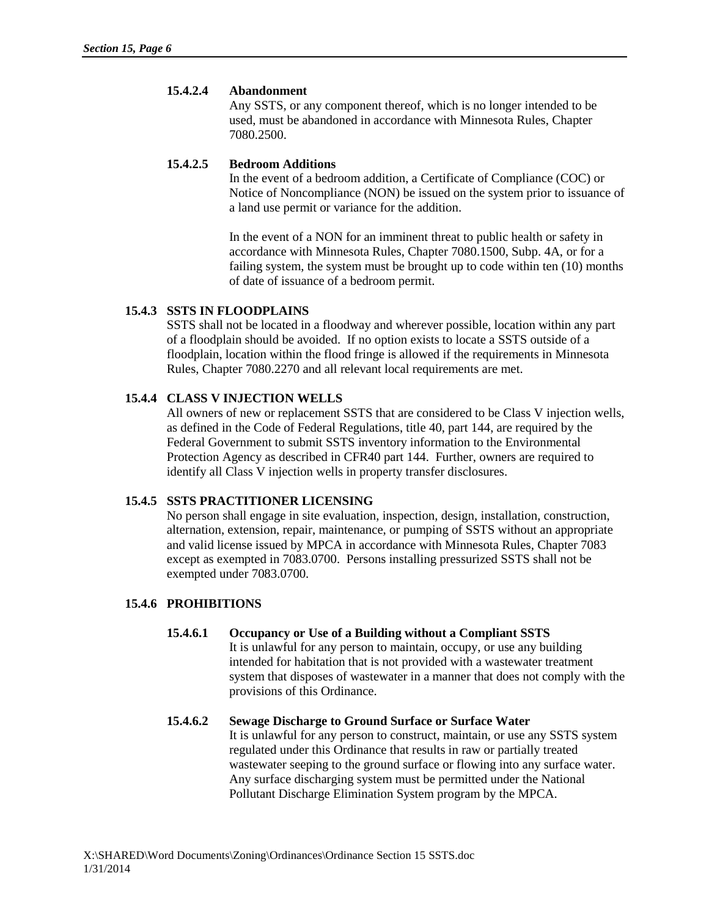#### **15.4.2.4 Abandonment**

Any SSTS, or any component thereof, which is no longer intended to be used, must be abandoned in accordance with Minnesota Rules, Chapter 7080.2500.

#### **15.4.2.5 Bedroom Additions**

In the event of a bedroom addition, a Certificate of Compliance (COC) or Notice of Noncompliance (NON) be issued on the system prior to issuance of a land use permit or variance for the addition.

In the event of a NON for an imminent threat to public health or safety in accordance with Minnesota Rules, Chapter 7080.1500, Subp. 4A, or for a failing system, the system must be brought up to code within ten (10) months of date of issuance of a bedroom permit.

## **15.4.3 SSTS IN FLOODPLAINS**

SSTS shall not be located in a floodway and wherever possible, location within any part of a floodplain should be avoided. If no option exists to locate a SSTS outside of a floodplain, location within the flood fringe is allowed if the requirements in Minnesota Rules, Chapter 7080.2270 and all relevant local requirements are met.

## **15.4.4 CLASS V INJECTION WELLS**

All owners of new or replacement SSTS that are considered to be Class V injection wells, as defined in the Code of Federal Regulations, title 40, part 144, are required by the Federal Government to submit SSTS inventory information to the Environmental Protection Agency as described in CFR40 part 144. Further, owners are required to identify all Class V injection wells in property transfer disclosures.

## **15.4.5 SSTS PRACTITIONER LICENSING**

No person shall engage in site evaluation, inspection, design, installation, construction, alternation, extension, repair, maintenance, or pumping of SSTS without an appropriate and valid license issued by MPCA in accordance with Minnesota Rules, Chapter 7083 except as exempted in 7083.0700. Persons installing pressurized SSTS shall not be exempted under 7083.0700.

## **15.4.6 PROHIBITIONS**

#### **15.4.6.1 Occupancy or Use of a Building without a Compliant SSTS** It is unlawful for any person to maintain, occupy, or use any building

intended for habitation that is not provided with a wastewater treatment system that disposes of wastewater in a manner that does not comply with the provisions of this Ordinance.

#### **15.4.6.2 Sewage Discharge to Ground Surface or Surface Water** It is unlawful for any person to construct, maintain, or use any SSTS system regulated under this Ordinance that results in raw or partially treated

wastewater seeping to the ground surface or flowing into any surface water. Any surface discharging system must be permitted under the National Pollutant Discharge Elimination System program by the MPCA.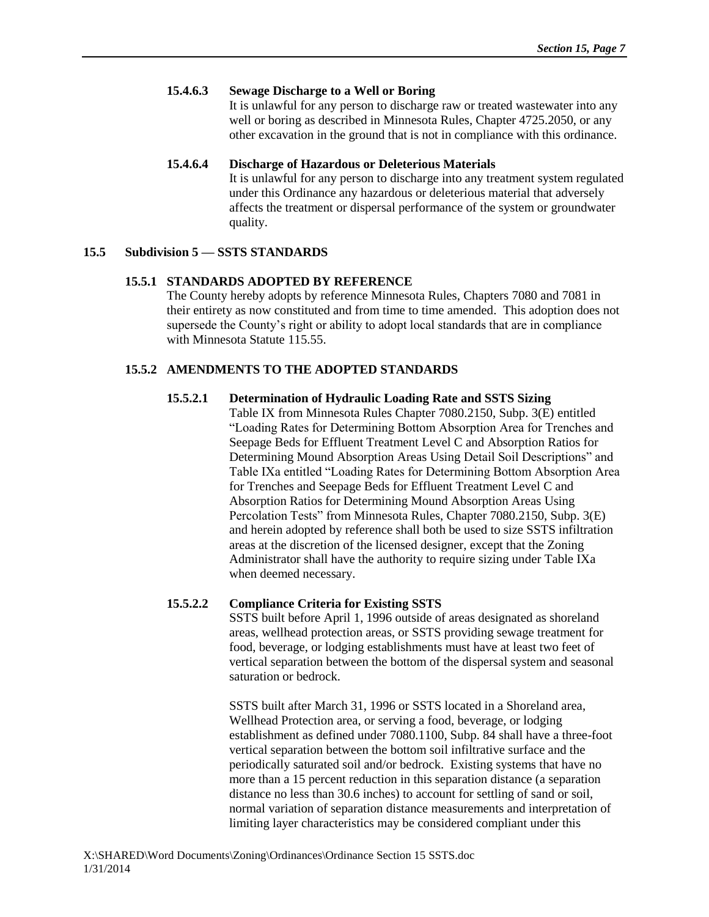## **15.4.6.3 Sewage Discharge to a Well or Boring**

It is unlawful for any person to discharge raw or treated wastewater into any well or boring as described in Minnesota Rules, Chapter 4725.2050, or any other excavation in the ground that is not in compliance with this ordinance.

## **15.4.6.4 Discharge of Hazardous or Deleterious Materials**

It is unlawful for any person to discharge into any treatment system regulated under this Ordinance any hazardous or deleterious material that adversely affects the treatment or dispersal performance of the system or groundwater quality.

# **15.5 Subdivision 5 — SSTS STANDARDS**

# **15.5.1 STANDARDS ADOPTED BY REFERENCE**

The County hereby adopts by reference Minnesota Rules, Chapters 7080 and 7081 in their entirety as now constituted and from time to time amended. This adoption does not supersede the County's right or ability to adopt local standards that are in compliance with Minnesota Statute 115.55.

# **15.5.2 AMENDMENTS TO THE ADOPTED STANDARDS**

# **15.5.2.1 Determination of Hydraulic Loading Rate and SSTS Sizing**

Table IX from Minnesota Rules Chapter 7080.2150, Subp. 3(E) entitled "Loading Rates for Determining Bottom Absorption Area for Trenches and Seepage Beds for Effluent Treatment Level C and Absorption Ratios for Determining Mound Absorption Areas Using Detail Soil Descriptions" and Table IXa entitled "Loading Rates for Determining Bottom Absorption Area for Trenches and Seepage Beds for Effluent Treatment Level C and Absorption Ratios for Determining Mound Absorption Areas Using Percolation Tests" from Minnesota Rules, Chapter 7080.2150, Subp. 3(E) and herein adopted by reference shall both be used to size SSTS infiltration areas at the discretion of the licensed designer, except that the Zoning Administrator shall have the authority to require sizing under Table IXa when deemed necessary.

# **15.5.2.2 Compliance Criteria for Existing SSTS**

SSTS built before April 1, 1996 outside of areas designated as shoreland areas, wellhead protection areas, or SSTS providing sewage treatment for food, beverage, or lodging establishments must have at least two feet of vertical separation between the bottom of the dispersal system and seasonal saturation or bedrock.

SSTS built after March 31, 1996 or SSTS located in a Shoreland area, Wellhead Protection area, or serving a food, beverage, or lodging establishment as defined under 7080.1100, Subp. 84 shall have a three-foot vertical separation between the bottom soil infiltrative surface and the periodically saturated soil and/or bedrock. Existing systems that have no more than a 15 percent reduction in this separation distance (a separation distance no less than 30.6 inches) to account for settling of sand or soil, normal variation of separation distance measurements and interpretation of limiting layer characteristics may be considered compliant under this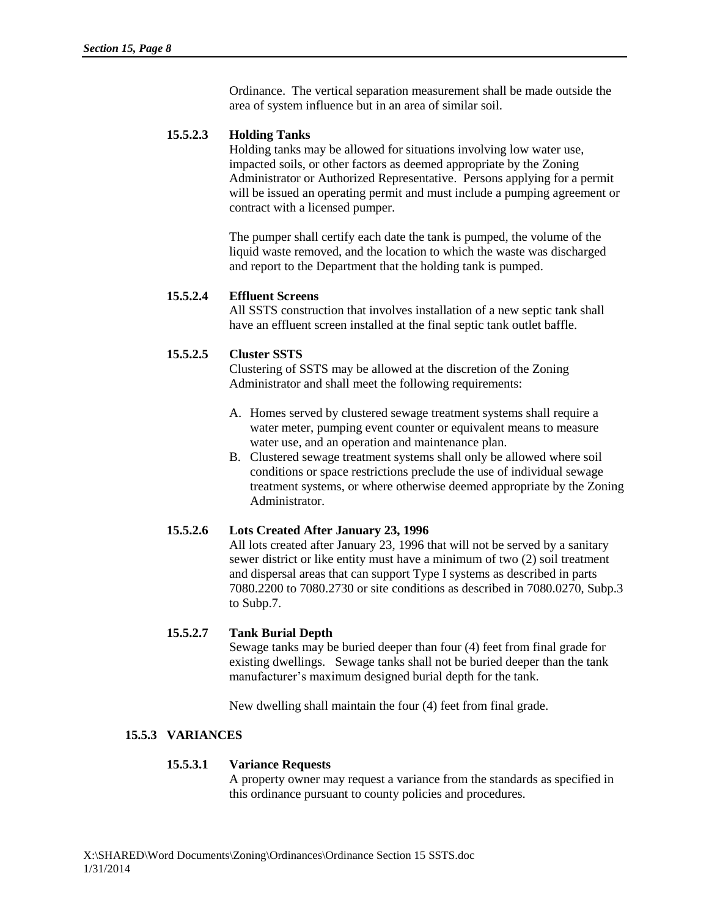Ordinance. The vertical separation measurement shall be made outside the area of system influence but in an area of similar soil.

# **15.5.2.3 Holding Tanks**

Holding tanks may be allowed for situations involving low water use, impacted soils, or other factors as deemed appropriate by the Zoning Administrator or Authorized Representative. Persons applying for a permit will be issued an operating permit and must include a pumping agreement or contract with a licensed pumper.

The pumper shall certify each date the tank is pumped, the volume of the liquid waste removed, and the location to which the waste was discharged and report to the Department that the holding tank is pumped.

# **15.5.2.4 Effluent Screens**

All SSTS construction that involves installation of a new septic tank shall have an effluent screen installed at the final septic tank outlet baffle.

# **15.5.2.5 Cluster SSTS**

Clustering of SSTS may be allowed at the discretion of the Zoning Administrator and shall meet the following requirements:

- A. Homes served by clustered sewage treatment systems shall require a water meter, pumping event counter or equivalent means to measure water use, and an operation and maintenance plan.
- B. Clustered sewage treatment systems shall only be allowed where soil conditions or space restrictions preclude the use of individual sewage treatment systems, or where otherwise deemed appropriate by the Zoning Administrator.

# **15.5.2.6 Lots Created After January 23, 1996**

All lots created after January 23, 1996 that will not be served by a sanitary sewer district or like entity must have a minimum of two (2) soil treatment and dispersal areas that can support Type I systems as described in parts 7080.2200 to 7080.2730 or site conditions as described in 7080.0270, Subp.3 to Subp.7.

## **15.5.2.7 Tank Burial Depth**

Sewage tanks may be buried deeper than four (4) feet from final grade for existing dwellings. Sewage tanks shall not be buried deeper than the tank manufacturer's maximum designed burial depth for the tank.

New dwelling shall maintain the four (4) feet from final grade.

# **15.5.3 VARIANCES**

## **15.5.3.1 Variance Requests**

A property owner may request a variance from the standards as specified in this ordinance pursuant to county policies and procedures.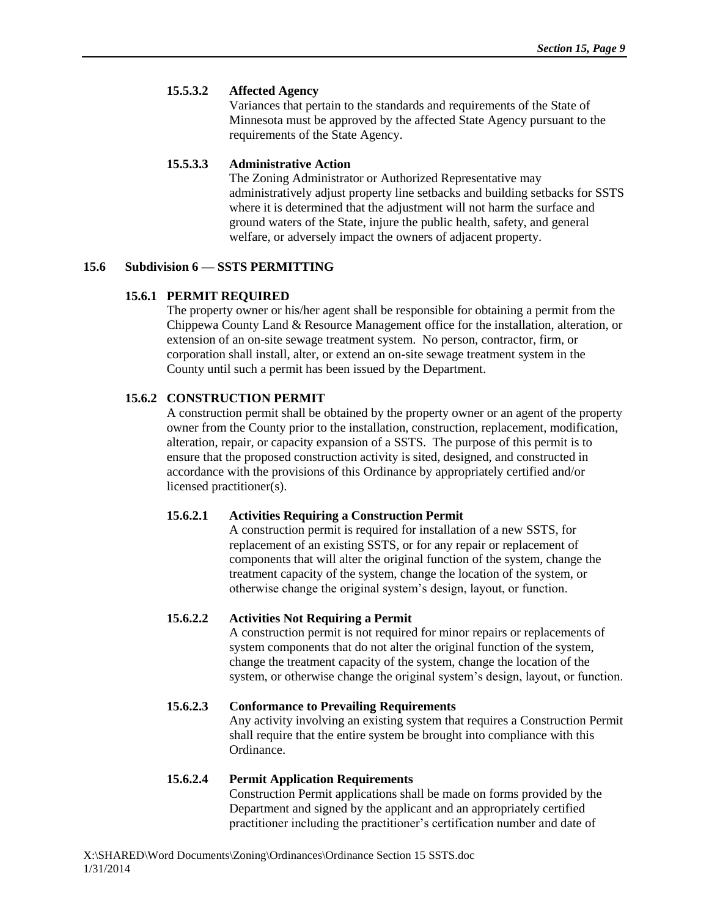## **15.5.3.2 Affected Agency**

Variances that pertain to the standards and requirements of the State of Minnesota must be approved by the affected State Agency pursuant to the requirements of the State Agency.

## **15.5.3.3 Administrative Action**

The Zoning Administrator or Authorized Representative may administratively adjust property line setbacks and building setbacks for SSTS where it is determined that the adjustment will not harm the surface and ground waters of the State, injure the public health, safety, and general welfare, or adversely impact the owners of adjacent property.

## **15.6 Subdivision 6 — SSTS PERMITTING**

## **15.6.1 PERMIT REQUIRED**

The property owner or his/her agent shall be responsible for obtaining a permit from the Chippewa County Land & Resource Management office for the installation, alteration, or extension of an on-site sewage treatment system. No person, contractor, firm, or corporation shall install, alter, or extend an on-site sewage treatment system in the County until such a permit has been issued by the Department.

# **15.6.2 CONSTRUCTION PERMIT**

A construction permit shall be obtained by the property owner or an agent of the property owner from the County prior to the installation, construction, replacement, modification, alteration, repair, or capacity expansion of a SSTS. The purpose of this permit is to ensure that the proposed construction activity is sited, designed, and constructed in accordance with the provisions of this Ordinance by appropriately certified and/or licensed practitioner(s).

## **15.6.2.1 Activities Requiring a Construction Permit**

A construction permit is required for installation of a new SSTS, for replacement of an existing SSTS, or for any repair or replacement of components that will alter the original function of the system, change the treatment capacity of the system, change the location of the system, or otherwise change the original system's design, layout, or function.

# **15.6.2.2 Activities Not Requiring a Permit**

A construction permit is not required for minor repairs or replacements of system components that do not alter the original function of the system, change the treatment capacity of the system, change the location of the system, or otherwise change the original system's design, layout, or function.

**15.6.2.3 Conformance to Prevailing Requirements** Any activity involving an existing system that requires a Construction Permit shall require that the entire system be brought into compliance with this Ordinance.

# **15.6.2.4 Permit Application Requirements**

Construction Permit applications shall be made on forms provided by the Department and signed by the applicant and an appropriately certified practitioner including the practitioner's certification number and date of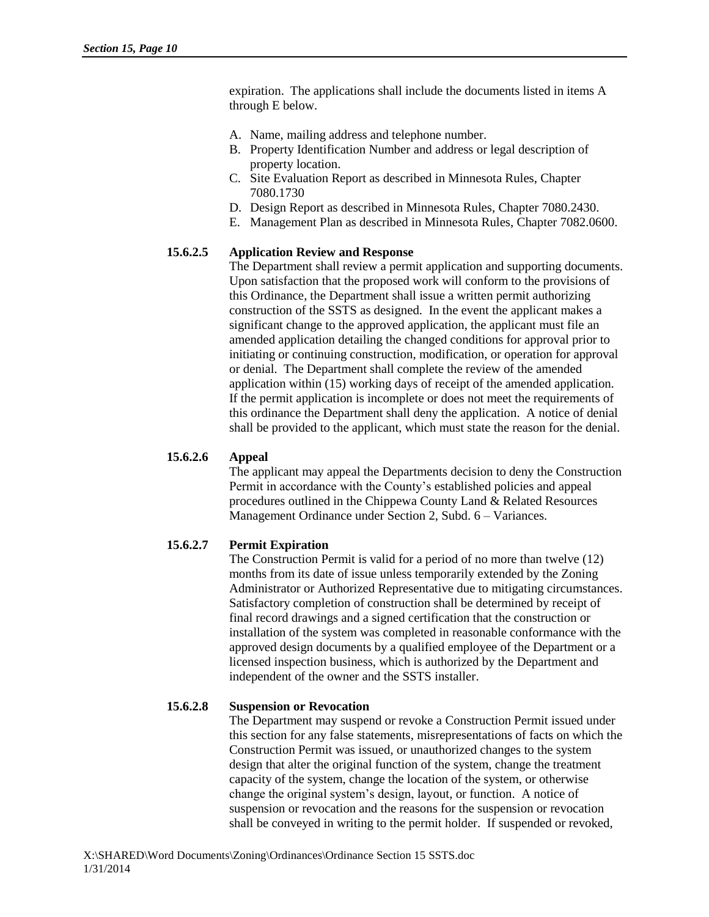expiration. The applications shall include the documents listed in items A through E below.

- A. Name, mailing address and telephone number.
- B. Property Identification Number and address or legal description of property location.
- C. Site Evaluation Report as described in Minnesota Rules, Chapter 7080.1730
- D. Design Report as described in Minnesota Rules, Chapter 7080.2430.
- E. Management Plan as described in Minnesota Rules, Chapter 7082.0600.

# **15.6.2.5 Application Review and Response**

The Department shall review a permit application and supporting documents. Upon satisfaction that the proposed work will conform to the provisions of this Ordinance, the Department shall issue a written permit authorizing construction of the SSTS as designed. In the event the applicant makes a significant change to the approved application, the applicant must file an amended application detailing the changed conditions for approval prior to initiating or continuing construction, modification, or operation for approval or denial. The Department shall complete the review of the amended application within (15) working days of receipt of the amended application. If the permit application is incomplete or does not meet the requirements of this ordinance the Department shall deny the application. A notice of denial shall be provided to the applicant, which must state the reason for the denial.

## **15.6.2.6 Appeal**

The applicant may appeal the Departments decision to deny the Construction Permit in accordance with the County's established policies and appeal procedures outlined in the Chippewa County Land & Related Resources Management Ordinance under Section 2, Subd. 6 – Variances.

# **15.6.2.7 Permit Expiration**

The Construction Permit is valid for a period of no more than twelve (12) months from its date of issue unless temporarily extended by the Zoning Administrator or Authorized Representative due to mitigating circumstances. Satisfactory completion of construction shall be determined by receipt of final record drawings and a signed certification that the construction or installation of the system was completed in reasonable conformance with the approved design documents by a qualified employee of the Department or a licensed inspection business, which is authorized by the Department and independent of the owner and the SSTS installer.

# **15.6.2.8 Suspension or Revocation**

The Department may suspend or revoke a Construction Permit issued under this section for any false statements, misrepresentations of facts on which the Construction Permit was issued, or unauthorized changes to the system design that alter the original function of the system, change the treatment capacity of the system, change the location of the system, or otherwise change the original system's design, layout, or function. A notice of suspension or revocation and the reasons for the suspension or revocation shall be conveyed in writing to the permit holder. If suspended or revoked,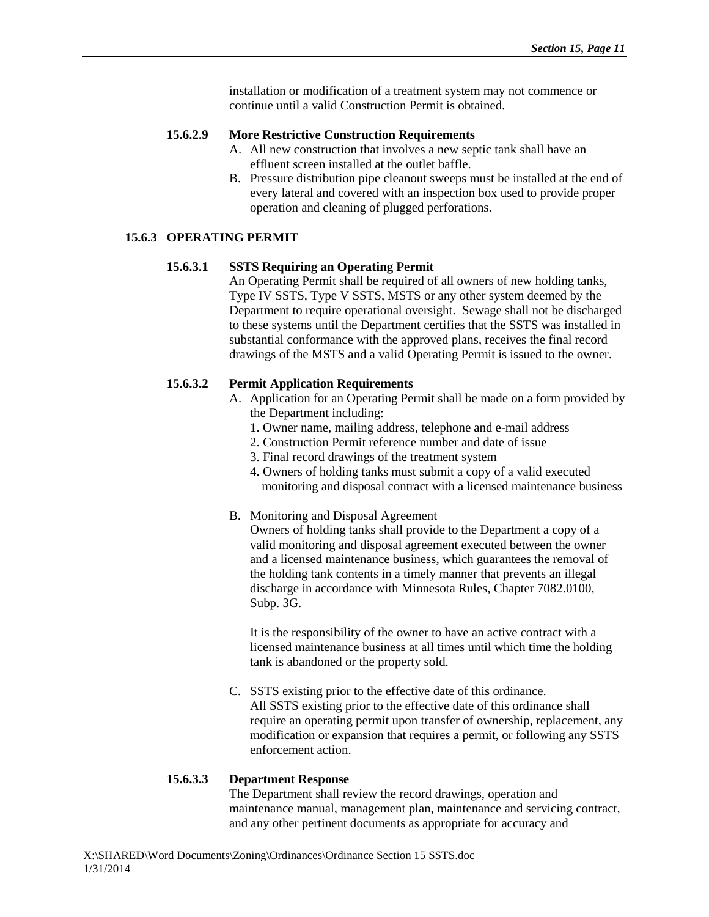installation or modification of a treatment system may not commence or continue until a valid Construction Permit is obtained.

#### **15.6.2.9 More Restrictive Construction Requirements**

- A. All new construction that involves a new septic tank shall have an effluent screen installed at the outlet baffle.
- B. Pressure distribution pipe cleanout sweeps must be installed at the end of every lateral and covered with an inspection box used to provide proper operation and cleaning of plugged perforations.

## **15.6.3 OPERATING PERMIT**

#### **15.6.3.1 SSTS Requiring an Operating Permit**

An Operating Permit shall be required of all owners of new holding tanks, Type IV SSTS, Type V SSTS, MSTS or any other system deemed by the Department to require operational oversight. Sewage shall not be discharged to these systems until the Department certifies that the SSTS was installed in substantial conformance with the approved plans, receives the final record drawings of the MSTS and a valid Operating Permit is issued to the owner.

## **15.6.3.2 Permit Application Requirements**

- A. Application for an Operating Permit shall be made on a form provided by the Department including:
	- 1. Owner name, mailing address, telephone and e-mail address
	- 2. Construction Permit reference number and date of issue
	- 3. Final record drawings of the treatment system
	- 4. Owners of holding tanks must submit a copy of a valid executed monitoring and disposal contract with a licensed maintenance business
- B. Monitoring and Disposal Agreement

Owners of holding tanks shall provide to the Department a copy of a valid monitoring and disposal agreement executed between the owner and a licensed maintenance business, which guarantees the removal of the holding tank contents in a timely manner that prevents an illegal discharge in accordance with Minnesota Rules, Chapter 7082.0100, Subp. 3G.

It is the responsibility of the owner to have an active contract with a licensed maintenance business at all times until which time the holding tank is abandoned or the property sold.

C. SSTS existing prior to the effective date of this ordinance. All SSTS existing prior to the effective date of this ordinance shall require an operating permit upon transfer of ownership, replacement, any modification or expansion that requires a permit, or following any SSTS enforcement action.

#### **15.6.3.3 Department Response**

The Department shall review the record drawings, operation and maintenance manual, management plan, maintenance and servicing contract, and any other pertinent documents as appropriate for accuracy and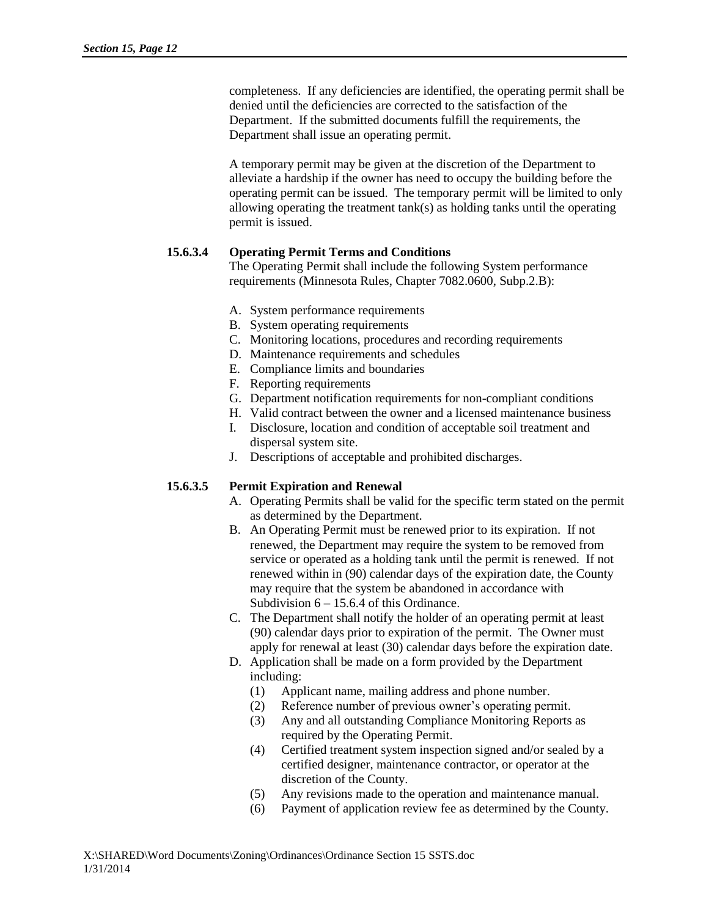completeness. If any deficiencies are identified, the operating permit shall be denied until the deficiencies are corrected to the satisfaction of the Department. If the submitted documents fulfill the requirements, the Department shall issue an operating permit.

A temporary permit may be given at the discretion of the Department to alleviate a hardship if the owner has need to occupy the building before the operating permit can be issued. The temporary permit will be limited to only allowing operating the treatment tank(s) as holding tanks until the operating permit is issued.

# **15.6.3.4 Operating Permit Terms and Conditions**

The Operating Permit shall include the following System performance requirements (Minnesota Rules, Chapter 7082.0600, Subp.2.B):

- A. System performance requirements
- B. System operating requirements
- C. Monitoring locations, procedures and recording requirements
- D. Maintenance requirements and schedules
- E. Compliance limits and boundaries
- F. Reporting requirements
- G. Department notification requirements for non-compliant conditions
- H. Valid contract between the owner and a licensed maintenance business
- I. Disclosure, location and condition of acceptable soil treatment and dispersal system site.
- J. Descriptions of acceptable and prohibited discharges.

# **15.6.3.5 Permit Expiration and Renewal**

- A. Operating Permits shall be valid for the specific term stated on the permit as determined by the Department.
- B. An Operating Permit must be renewed prior to its expiration. If not renewed, the Department may require the system to be removed from service or operated as a holding tank until the permit is renewed. If not renewed within in (90) calendar days of the expiration date, the County may require that the system be abandoned in accordance with Subdivision 6 – 15.6.4 of this Ordinance.
- C. The Department shall notify the holder of an operating permit at least (90) calendar days prior to expiration of the permit. The Owner must apply for renewal at least (30) calendar days before the expiration date.
- D. Application shall be made on a form provided by the Department including:
	- (1) Applicant name, mailing address and phone number.
	- (2) Reference number of previous owner's operating permit.
	- (3) Any and all outstanding Compliance Monitoring Reports as required by the Operating Permit.
	- (4) Certified treatment system inspection signed and/or sealed by a certified designer, maintenance contractor, or operator at the discretion of the County.
	- (5) Any revisions made to the operation and maintenance manual.
	- (6) Payment of application review fee as determined by the County.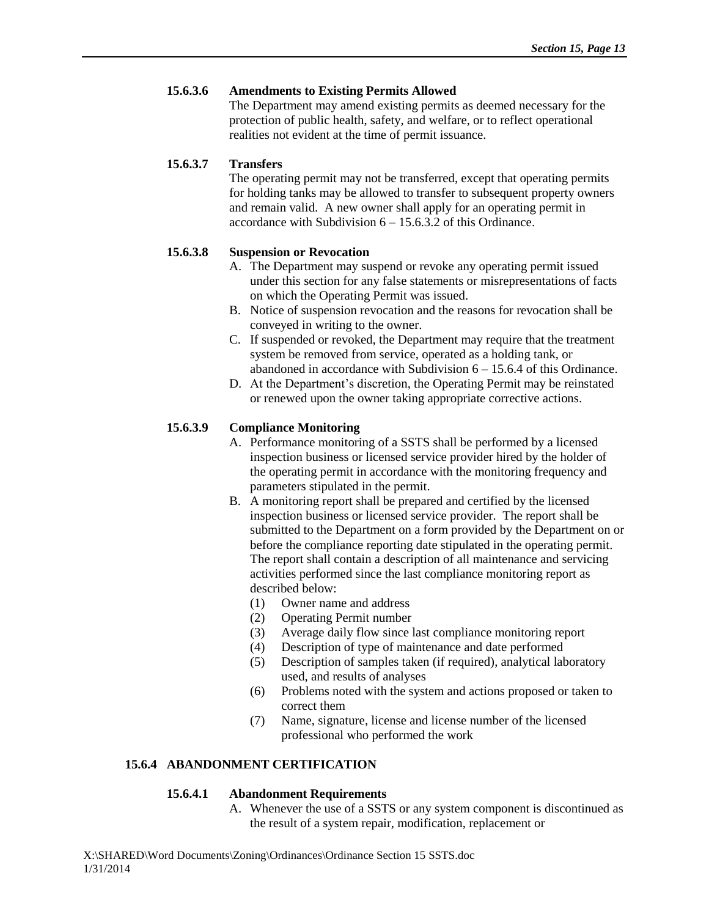## **15.6.3.6 Amendments to Existing Permits Allowed**

The Department may amend existing permits as deemed necessary for the protection of public health, safety, and welfare, or to reflect operational realities not evident at the time of permit issuance.

## **15.6.3.7 Transfers**

The operating permit may not be transferred, except that operating permits for holding tanks may be allowed to transfer to subsequent property owners and remain valid. A new owner shall apply for an operating permit in accordance with Subdivision  $6 - 15.6.3.2$  of this Ordinance.

# **15.6.3.8 Suspension or Revocation**

- A. The Department may suspend or revoke any operating permit issued under this section for any false statements or misrepresentations of facts on which the Operating Permit was issued.
- B. Notice of suspension revocation and the reasons for revocation shall be conveyed in writing to the owner.
- C. If suspended or revoked, the Department may require that the treatment system be removed from service, operated as a holding tank, or abandoned in accordance with Subdivision  $6 - 15.6.4$  of this Ordinance.
- D. At the Department's discretion, the Operating Permit may be reinstated or renewed upon the owner taking appropriate corrective actions.

# **15.6.3.9 Compliance Monitoring**

- A. Performance monitoring of a SSTS shall be performed by a licensed inspection business or licensed service provider hired by the holder of the operating permit in accordance with the monitoring frequency and parameters stipulated in the permit.
- B. A monitoring report shall be prepared and certified by the licensed inspection business or licensed service provider. The report shall be submitted to the Department on a form provided by the Department on or before the compliance reporting date stipulated in the operating permit. The report shall contain a description of all maintenance and servicing activities performed since the last compliance monitoring report as described below:
	- (1) Owner name and address
	- (2) Operating Permit number
	- (3) Average daily flow since last compliance monitoring report
	- (4) Description of type of maintenance and date performed
	- (5) Description of samples taken (if required), analytical laboratory used, and results of analyses
	- (6) Problems noted with the system and actions proposed or taken to correct them
	- (7) Name, signature, license and license number of the licensed professional who performed the work

# **15.6.4 ABANDONMENT CERTIFICATION**

## **15.6.4.1 Abandonment Requirements**

A. Whenever the use of a SSTS or any system component is discontinued as the result of a system repair, modification, replacement or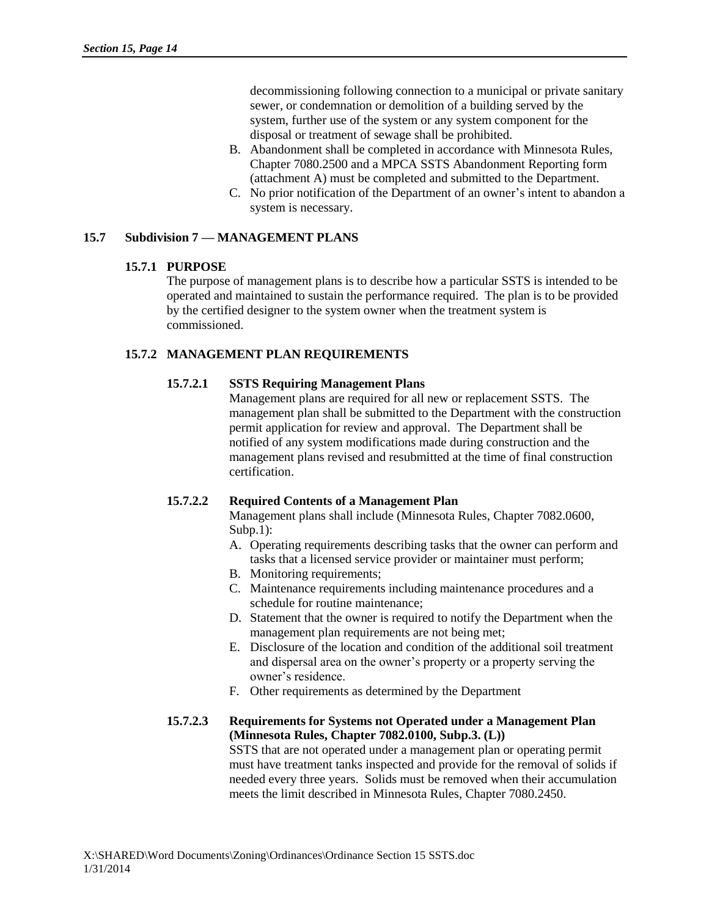decommissioning following connection to a municipal or private sanitary sewer, or condemnation or demolition of a building served by the system, further use of the system or any system component for the disposal or treatment of sewage shall be prohibited.

- B. Abandonment shall be completed in accordance with Minnesota Rules, Chapter 7080.2500 and a MPCA SSTS Abandonment Reporting form (attachment A) must be completed and submitted to the Department.
- C. No prior notification of the Department of an owner's intent to abandon a system is necessary.

# **15.7 Subdivision 7 — MANAGEMENT PLANS**

## **15.7.1 PURPOSE**

The purpose of management plans is to describe how a particular SSTS is intended to be operated and maintained to sustain the performance required. The plan is to be provided by the certified designer to the system owner when the treatment system is commissioned.

# **15.7.2 MANAGEMENT PLAN REQUIREMENTS**

# **15.7.2.1 SSTS Requiring Management Plans**

Management plans are required for all new or replacement SSTS. The management plan shall be submitted to the Department with the construction permit application for review and approval. The Department shall be notified of any system modifications made during construction and the management plans revised and resubmitted at the time of final construction certification.

# **15.7.2.2 Required Contents of a Management Plan**

Management plans shall include (Minnesota Rules, Chapter 7082.0600, Subp.1):

- A. Operating requirements describing tasks that the owner can perform and tasks that a licensed service provider or maintainer must perform;
- B. Monitoring requirements;
- C. Maintenance requirements including maintenance procedures and a schedule for routine maintenance;
- D. Statement that the owner is required to notify the Department when the management plan requirements are not being met;
- E. Disclosure of the location and condition of the additional soil treatment and dispersal area on the owner's property or a property serving the owner's residence.
- F. Other requirements as determined by the Department

## **15.7.2.3 Requirements for Systems not Operated under a Management Plan (Minnesota Rules, Chapter 7082.0100, Subp.3. (L))**

SSTS that are not operated under a management plan or operating permit must have treatment tanks inspected and provide for the removal of solids if needed every three years. Solids must be removed when their accumulation meets the limit described in Minnesota Rules, Chapter 7080.2450.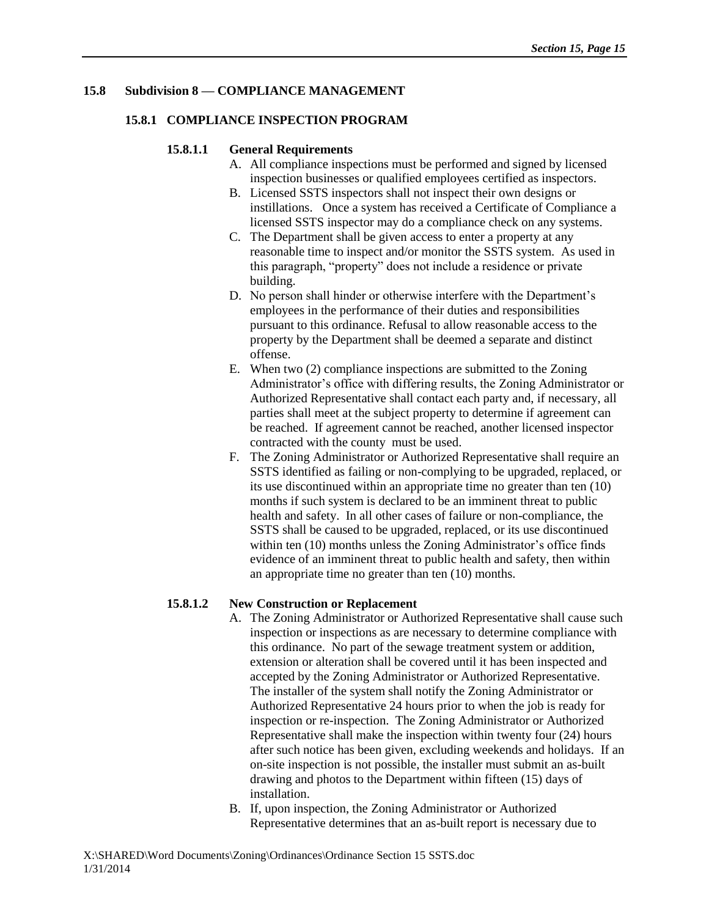## **15.8 Subdivision 8 — COMPLIANCE MANAGEMENT**

## **15.8.1 COMPLIANCE INSPECTION PROGRAM**

## **15.8.1.1 General Requirements**

- A. All compliance inspections must be performed and signed by licensed inspection businesses or qualified employees certified as inspectors.
- B. Licensed SSTS inspectors shall not inspect their own designs or instillations. Once a system has received a Certificate of Compliance a licensed SSTS inspector may do a compliance check on any systems.
- C. The Department shall be given access to enter a property at any reasonable time to inspect and/or monitor the SSTS system. As used in this paragraph, "property" does not include a residence or private building.
- D. No person shall hinder or otherwise interfere with the Department's employees in the performance of their duties and responsibilities pursuant to this ordinance. Refusal to allow reasonable access to the property by the Department shall be deemed a separate and distinct offense.
- E. When two (2) compliance inspections are submitted to the Zoning Administrator's office with differing results, the Zoning Administrator or Authorized Representative shall contact each party and, if necessary, all parties shall meet at the subject property to determine if agreement can be reached. If agreement cannot be reached, another licensed inspector contracted with the county must be used.
- F. The Zoning Administrator or Authorized Representative shall require an SSTS identified as failing or non-complying to be upgraded, replaced, or its use discontinued within an appropriate time no greater than ten (10) months if such system is declared to be an imminent threat to public health and safety. In all other cases of failure or non-compliance, the SSTS shall be caused to be upgraded, replaced, or its use discontinued within ten (10) months unless the Zoning Administrator's office finds evidence of an imminent threat to public health and safety, then within an appropriate time no greater than ten (10) months.

# **15.8.1.2 New Construction or Replacement**

- A. The Zoning Administrator or Authorized Representative shall cause such inspection or inspections as are necessary to determine compliance with this ordinance. No part of the sewage treatment system or addition, extension or alteration shall be covered until it has been inspected and accepted by the Zoning Administrator or Authorized Representative. The installer of the system shall notify the Zoning Administrator or Authorized Representative 24 hours prior to when the job is ready for inspection or re-inspection. The Zoning Administrator or Authorized Representative shall make the inspection within twenty four (24) hours after such notice has been given, excluding weekends and holidays. If an on-site inspection is not possible, the installer must submit an as-built drawing and photos to the Department within fifteen (15) days of installation.
- B. If, upon inspection, the Zoning Administrator or Authorized Representative determines that an as-built report is necessary due to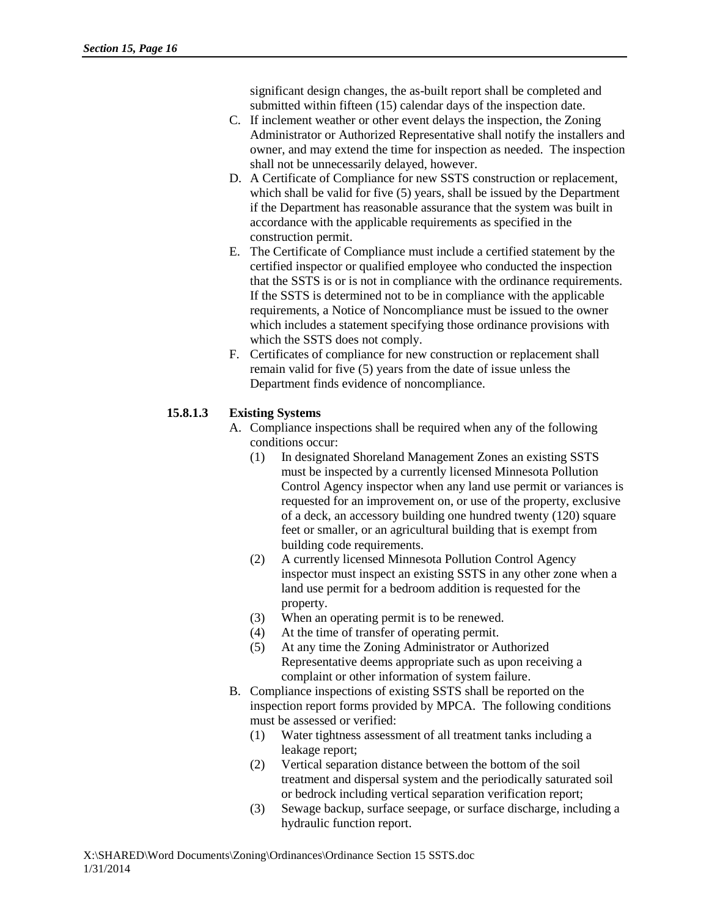significant design changes, the as-built report shall be completed and submitted within fifteen (15) calendar days of the inspection date.

- C. If inclement weather or other event delays the inspection, the Zoning Administrator or Authorized Representative shall notify the installers and owner, and may extend the time for inspection as needed. The inspection shall not be unnecessarily delayed, however.
- D. A Certificate of Compliance for new SSTS construction or replacement, which shall be valid for five (5) years, shall be issued by the Department if the Department has reasonable assurance that the system was built in accordance with the applicable requirements as specified in the construction permit.
- E. The Certificate of Compliance must include a certified statement by the certified inspector or qualified employee who conducted the inspection that the SSTS is or is not in compliance with the ordinance requirements. If the SSTS is determined not to be in compliance with the applicable requirements, a Notice of Noncompliance must be issued to the owner which includes a statement specifying those ordinance provisions with which the SSTS does not comply.
- F. Certificates of compliance for new construction or replacement shall remain valid for five (5) years from the date of issue unless the Department finds evidence of noncompliance.

# **15.8.1.3 Existing Systems**

- A. Compliance inspections shall be required when any of the following conditions occur:
	- (1) In designated Shoreland Management Zones an existing SSTS must be inspected by a currently licensed Minnesota Pollution Control Agency inspector when any land use permit or variances is requested for an improvement on, or use of the property, exclusive of a deck, an accessory building one hundred twenty (120) square feet or smaller, or an agricultural building that is exempt from building code requirements.
	- (2) A currently licensed Minnesota Pollution Control Agency inspector must inspect an existing SSTS in any other zone when a land use permit for a bedroom addition is requested for the property.
	- (3) When an operating permit is to be renewed.
	- (4) At the time of transfer of operating permit.
	- (5) At any time the Zoning Administrator or Authorized Representative deems appropriate such as upon receiving a complaint or other information of system failure.
- B. Compliance inspections of existing SSTS shall be reported on the inspection report forms provided by MPCA. The following conditions must be assessed or verified:
	- (1) Water tightness assessment of all treatment tanks including a leakage report;
	- (2) Vertical separation distance between the bottom of the soil treatment and dispersal system and the periodically saturated soil or bedrock including vertical separation verification report;
	- (3) Sewage backup, surface seepage, or surface discharge, including a hydraulic function report.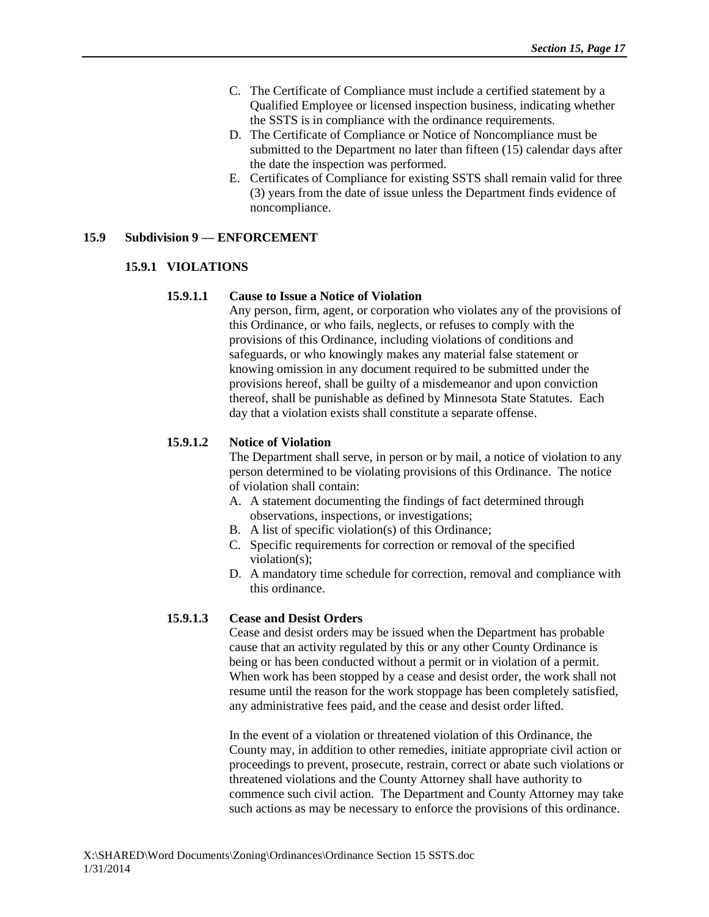- C. The Certificate of Compliance must include a certified statement by a Qualified Employee or licensed inspection business, indicating whether the SSTS is in compliance with the ordinance requirements.
- D. The Certificate of Compliance or Notice of Noncompliance must be submitted to the Department no later than fifteen (15) calendar days after the date the inspection was performed.
- E. Certificates of Compliance for existing SSTS shall remain valid for three (3) years from the date of issue unless the Department finds evidence of noncompliance.

#### **15.9 Subdivision 9 — ENFORCEMENT**

#### **15.9.1 VIOLATIONS**

#### **15.9.1.1 Cause to Issue a Notice of Violation**

Any person, firm, agent, or corporation who violates any of the provisions of this Ordinance, or who fails, neglects, or refuses to comply with the provisions of this Ordinance, including violations of conditions and safeguards, or who knowingly makes any material false statement or knowing omission in any document required to be submitted under the provisions hereof, shall be guilty of a misdemeanor and upon conviction thereof, shall be punishable as defined by Minnesota State Statutes. Each day that a violation exists shall constitute a separate offense.

## **15.9.1.2 Notice of Violation**

The Department shall serve, in person or by mail, a notice of violation to any person determined to be violating provisions of this Ordinance. The notice of violation shall contain:

- A. A statement documenting the findings of fact determined through observations, inspections, or investigations;
- B. A list of specific violation(s) of this Ordinance;
- C. Specific requirements for correction or removal of the specified violation(s);
- D. A mandatory time schedule for correction, removal and compliance with this ordinance.

## **15.9.1.3 Cease and Desist Orders**

Cease and desist orders may be issued when the Department has probable cause that an activity regulated by this or any other County Ordinance is being or has been conducted without a permit or in violation of a permit. When work has been stopped by a cease and desist order, the work shall not resume until the reason for the work stoppage has been completely satisfied, any administrative fees paid, and the cease and desist order lifted.

In the event of a violation or threatened violation of this Ordinance, the County may, in addition to other remedies, initiate appropriate civil action or proceedings to prevent, prosecute, restrain, correct or abate such violations or threatened violations and the County Attorney shall have authority to commence such civil action. The Department and County Attorney may take such actions as may be necessary to enforce the provisions of this ordinance.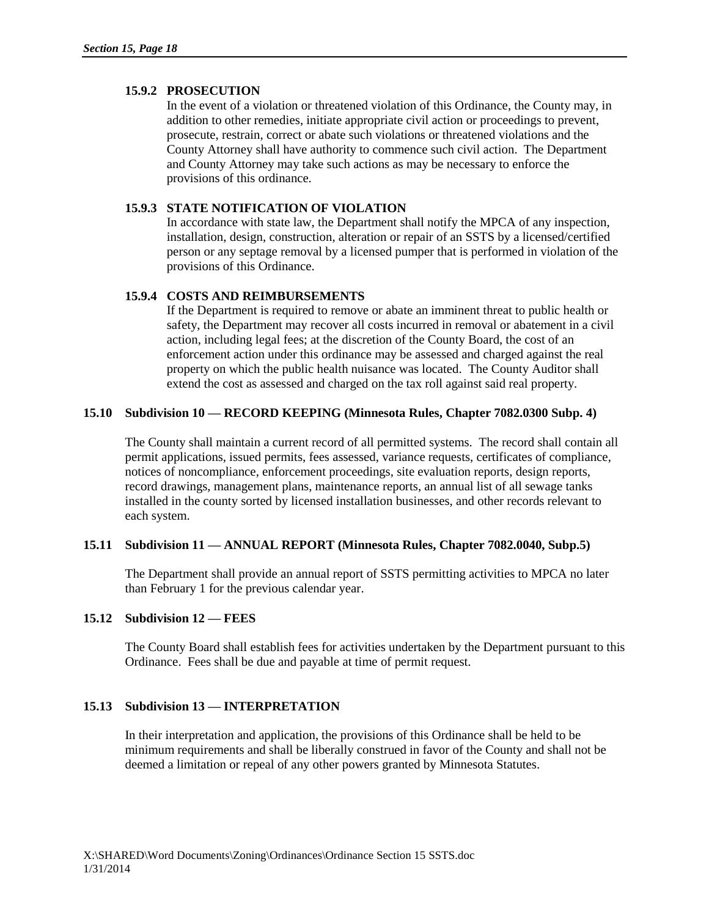## **15.9.2 PROSECUTION**

In the event of a violation or threatened violation of this Ordinance, the County may, in addition to other remedies, initiate appropriate civil action or proceedings to prevent, prosecute, restrain, correct or abate such violations or threatened violations and the County Attorney shall have authority to commence such civil action. The Department and County Attorney may take such actions as may be necessary to enforce the provisions of this ordinance.

#### **15.9.3 STATE NOTIFICATION OF VIOLATION**

In accordance with state law, the Department shall notify the MPCA of any inspection, installation, design, construction, alteration or repair of an SSTS by a licensed/certified person or any septage removal by a licensed pumper that is performed in violation of the provisions of this Ordinance.

## **15.9.4 COSTS AND REIMBURSEMENTS**

If the Department is required to remove or abate an imminent threat to public health or safety, the Department may recover all costs incurred in removal or abatement in a civil action, including legal fees; at the discretion of the County Board, the cost of an enforcement action under this ordinance may be assessed and charged against the real property on which the public health nuisance was located. The County Auditor shall extend the cost as assessed and charged on the tax roll against said real property.

## **15.10 Subdivision 10 — RECORD KEEPING (Minnesota Rules, Chapter 7082.0300 Subp. 4)**

The County shall maintain a current record of all permitted systems. The record shall contain all permit applications, issued permits, fees assessed, variance requests, certificates of compliance, notices of noncompliance, enforcement proceedings, site evaluation reports, design reports, record drawings, management plans, maintenance reports, an annual list of all sewage tanks installed in the county sorted by licensed installation businesses, and other records relevant to each system.

## **15.11 Subdivision 11 — ANNUAL REPORT (Minnesota Rules, Chapter 7082.0040, Subp.5)**

The Department shall provide an annual report of SSTS permitting activities to MPCA no later than February 1 for the previous calendar year.

## **15.12 Subdivision 12 — FEES**

The County Board shall establish fees for activities undertaken by the Department pursuant to this Ordinance. Fees shall be due and payable at time of permit request.

## **15.13 Subdivision 13 — INTERPRETATION**

In their interpretation and application, the provisions of this Ordinance shall be held to be minimum requirements and shall be liberally construed in favor of the County and shall not be deemed a limitation or repeal of any other powers granted by Minnesota Statutes.